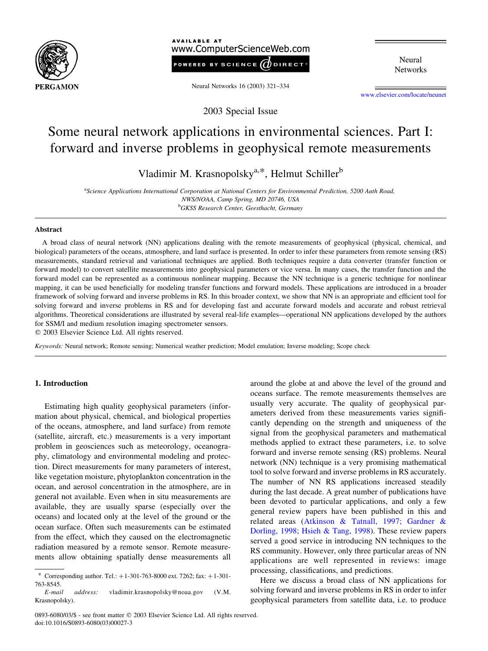



Neural **Networks** 

Neural Networks 16 (2003) 321–334

[www.elsevier.com/locate/neunet](http://www.elsevier.com/locate/neunet)

2003 Special Issue

# Some neural network applications in environmental sciences. Part I: forward and inverse problems in geophysical remote measurements

Vladimir M. Krasnopolsky<sup>a,\*</sup>, Helmut Schiller<sup>b</sup>

a Science Applications International Corporation at National Centers for Environmental Prediction, 5200 Auth Road, NWS/NOAA, Camp Spring, MD 20746, USA <sup>b</sup>GKSS Research Center, Geesthacht, Germany

#### **Abstract**

A broad class of neural network (NN) applications dealing with the remote measurements of geophysical (physical, chemical, and biological) parameters of the oceans, atmosphere, and land surface is presented. In order to infer these parameters from remote sensing (RS) measurements, standard retrieval and variational techniques are applied. Both techniques require a data converter (transfer function or forward model) to convert satellite measurements into geophysical parameters or vice versa. In many cases, the transfer function and the forward model can be represented as a continuous nonlinear mapping. Because the NN technique is a generic technique for nonlinear mapping, it can be used beneficially for modeling transfer functions and forward models. These applications are introduced in a broader framework of solving forward and inverse problems in RS. In this broader context, we show that NN is an appropriate and efficient tool for solving forward and inverse problems in RS and for developing fast and accurate forward models and accurate and robust retrieval algorithms. Theoretical considerations are illustrated by several real-life examples—operational NN applications developed by the authors for SSM/I and medium resolution imaging spectrometer sensors.

 $©$  2003 Elsevier Science Ltd. All rights reserved.

Keywords: Neural network; Remote sensing; Numerical weather prediction; Model emulation; Inverse modeling; Scope check

### 1. Introduction

Estimating high quality geophysical parameters (information about physical, chemical, and biological properties of the oceans, atmosphere, and land surface) from remote (satellite, aircraft, etc.) measurements is a very important problem in geosciences such as meteorology, oceanography, climatology and environmental modeling and protection. Direct measurements for many parameters of interest, like vegetation moisture, phytoplankton concentration in the ocean, and aerosol concentration in the atmosphere, are in general not available. Even when in situ measurements are available, they are usually sparse (especially over the oceans) and located only at the level of the ground or the ocean surface. Often such measurements can be estimated from the effect, which they caused on the electromagnetic radiation measured by a remote sensor. Remote measurements allow obtaining spatially dense measurements all around the globe at and above the level of the ground and oceans surface. The remote measurements themselves are usually very accurate. The quality of geophysical parameters derived from these measurements varies significantly depending on the strength and uniqueness of the signal from the geophysical parameters and mathematical methods applied to extract these parameters, i.e. to solve forward and inverse remote sensing (RS) problems. Neural network (NN) technique is a very promising mathematical tool to solve forward and inverse problems in RS accurately. The number of NN RS applications increased steadily during the last decade. A great number of publications have been devoted to particular applications, and only a few general review papers have been published in this and related areas ([Atkinson & Tatnall, 1997; Gardner &](#page-12-0) [Dorling, 1998; Hsieh & Tang, 1998\)](#page-12-0). These review papers served a good service in introducing NN techniques to the RS community. However, only three particular areas of NN applications are well represented in reviews: image processing, classifications, and predictions.

Here we discuss a broad class of NN applications for solving forward and inverse problems in RS in order to infer geophysical parameters from satellite data, i.e. to produce

Corresponding author. Tel.:  $+ 1-301-763-8000$  ext. 7262; fax:  $+ 1-301-$ 763-8545.

E-mail address: vladimir.krasnopolsky@noaa.gov (V.M. Krasnopolsky).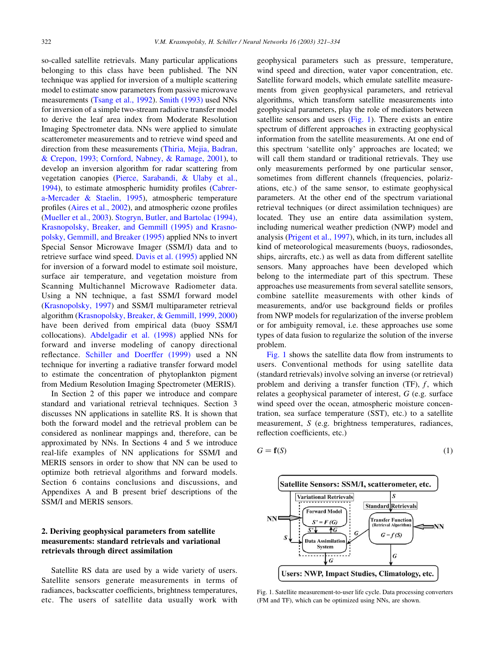<span id="page-1-0"></span>so-called satellite retrievals. Many particular applications belonging to this class have been published. The NN technique was applied for inversion of a multiple scattering model to estimate snow parameters from passive microwave measurements ([Tsang et al., 1992](#page-13-0)). [Smith \(1993\)](#page-13-0) used NNs for inversion of a simple two-stream radiative transfer model to derive the leaf area index from Moderate Resolution Imaging Spectrometer data. NNs were applied to simulate scatterometer measurements and to retrieve wind speed and direction from these measurements [\(Thiria, Mejia, Badran,](#page-13-0) [& Crepon, 1993; Cornford, Nabney, & Ramage, 2001\)](#page-13-0), to develop an inversion algorithm for radar scattering from vegetation canopies [\(Pierce, Sarabandi, & Ulaby et al.,](#page-13-0) [1994\)](#page-13-0), to estimate atmospheric humidity profiles [\(Cabrer](#page-12-0)[a-Mercader & Staelin, 1995](#page-12-0)), atmospheric temperature profiles ([Aires et al., 2002\)](#page-12-0), and atmospheric ozone profiles ([Mueller et al., 2003](#page-13-0)). [Stogryn, Butler, and Bartolac \(1994\),](#page-13-0) [Krasnopolsky, Breaker, and Gemmill \(1995\) and Krasno](#page-13-0)[polsky, Gemmill, and Breaker \(1995\)](#page-13-0) applied NNs to invert Special Sensor Microwave Imager (SSM/I) data and to retrieve surface wind speed. [Davis et al. \(1995\)](#page-12-0) applied NN for inversion of a forward model to estimate soil moisture, surface air temperature, and vegetation moisture from Scanning Multichannel Microwave Radiometer data. Using a NN technique, a fast SSM/I forward model ([Krasnopolsky, 1997\)](#page-13-0) and SSM/I multiparameter retrieval algorithm [\(Krasnopolsky, Breaker, & Gemmill, 1999, 2000](#page-13-0)) have been derived from empirical data (buoy SSM/I collocations). [Abdelgadir et al. \(1998\)](#page-12-0) applied NNs for forward and inverse modeling of canopy directional reflectance. [Schiller and Doerffer \(1999\)](#page-13-0) used a NN technique for inverting a radiative transfer forward model to estimate the concentration of phytoplankton pigment from Medium Resolution Imaging Spectrometer (MERIS).

In Section 2 of this paper we introduce and compare standard and variational retrieval techniques. Section 3 discusses NN applications in satellite RS. It is shown that both the forward model and the retrieval problem can be considered as nonlinear mappings and, therefore, can be approximated by NNs. In Sections 4 and 5 we introduce real-life examples of NN applications for SSM/I and MERIS sensors in order to show that NN can be used to optimize both retrieval algorithms and forward models. Section 6 contains conclusions and discussions, and Appendixes A and B present brief descriptions of the SSM/I and MERIS sensors.

# 2. Deriving geophysical parameters from satellite measurements: standard retrievals and variational retrievals through direct assimilation

Satellite RS data are used by a wide variety of users. Satellite sensors generate measurements in terms of radiances, backscatter coefficients, brightness temperatures, etc. The users of satellite data usually work with geophysical parameters such as pressure, temperature, wind speed and direction, water vapor concentration, etc. Satellite forward models, which emulate satellite measurements from given geophysical parameters, and retrieval algorithms, which transform satellite measurements into geophysical parameters, play the role of mediators between satellite sensors and users  $(Fig. 1)$ . There exists an entire spectrum of different approaches in extracting geophysical information from the satellite measurements. At one end of this spectrum 'satellite only' approaches are located; we will call them standard or traditional retrievals. They use only measurements performed by one particular sensor, sometimes from different channels (frequencies, polarizations, etc.) of the same sensor, to estimate geophysical parameters. At the other end of the spectrum variational retrieval techniques (or direct assimilation techniques) are located. They use an entire data assimilation system, including numerical weather prediction (NWP) model and analysis [\(Prigent et al., 1997\)](#page-13-0), which, in its turn, includes all kind of meteorological measurements (buoys, radiosondes, ships, aircrafts, etc.) as well as data from different satellite sensors. Many approaches have been developed which belong to the intermediate part of this spectrum. These approaches use measurements from several satellite sensors, combine satellite measurements with other kinds of measurements, and/or use background fields or profiles from NWP models for regularization of the inverse problem or for ambiguity removal, i.e. these approaches use some types of data fusion to regularize the solution of the inverse problem.

Fig. 1 shows the satellite data flow from instruments to users. Conventional methods for using satellite data (standard retrievals) involve solving an inverse (or retrieval) problem and deriving a transfer function  $(TF)$ , f, which relates a geophysical parameter of interest, G (e.g. surface wind speed over the ocean, atmospheric moisture concentration, sea surface temperature (SST), etc.) to a satellite measurement, S (e.g. brightness temperatures, radiances, reflection coefficients, etc.)

$$
G = \mathbf{f}(S) \tag{1}
$$



Fig. 1. Satellite measurement-to-user life cycle. Data processing converters (FM and TF), which can be optimized using NNs, are shown.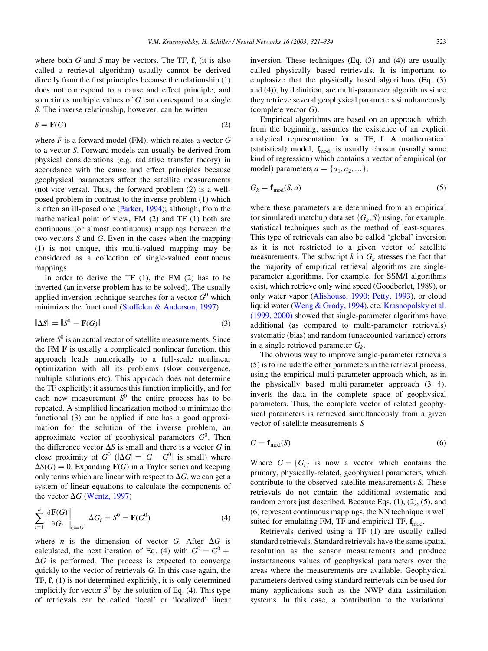where both  $G$  and  $S$  may be vectors. The TF,  $f$ , (it is also called a retrieval algorithm) usually cannot be derived directly from the first principles because the relationship (1) does not correspond to a cause and effect principle, and sometimes multiple values of G can correspond to a single S: The inverse relationship, however, can be written

$$
S = \mathbf{F}(G) \tag{2}
$$

where  $F$  is a forward model (FM), which relates a vector  $G$ to a vector S: Forward models can usually be derived from physical considerations (e.g. radiative transfer theory) in accordance with the cause and effect principles because geophysical parameters affect the satellite measurements (not vice versa). Thus, the forward problem (2) is a wellposed problem in contrast to the inverse problem (1) which is often an ill-posed one [\(Parker, 1994\)](#page-13-0); although, from the mathematical point of view, FM (2) and TF (1) both are continuous (or almost continuous) mappings between the two vectors  $S$  and  $G$ . Even in the cases when the mapping (1) is not unique, this multi-valued mapping may be considered as a collection of single-valued continuous mappings.

In order to derive the TF  $(1)$ , the FM  $(2)$  has to be inverted (an inverse problem has to be solved). The usually applied inversion technique searches for a vector  $G^0$  which minimizes the functional ([Stoffelen & Anderson, 1997\)](#page-13-0)

$$
\|\Delta S\| = \|S^0 - \mathbf{F}(G)\|
$$
\n(3)

where  $S^0$  is an actual vector of satellite measurements. Since the FM F is usually a complicated nonlinear function, this approach leads numerically to a full-scale nonlinear optimization with all its problems (slow convergence, multiple solutions etc). This approach does not determine the TF explicitly; it assumes this function implicitly, and for each new measurement  $S^0$  the entire process has to be repeated. A simplified linearization method to minimize the functional (3) can be applied if one has a good approximation for the solution of the inverse problem, an approximate vector of geophysical parameters  $G^0$ . Then the difference vector  $\Delta S$  is small and there is a vector G in close proximity of  $G^0$  ( $|\Delta G| = |G - G^0|$  is small) where  $\Delta S(G) = 0$ . Expanding  $F(G)$  in a Taylor series and keeping only terms which are linear with respect to  $\Delta G$ , we can get a system of linear equations to calculate the components of the vector  $\Delta G$  ([Wentz, 1997\)](#page-13-0)

$$
\sum_{i=1}^{n} \left. \frac{\partial \mathbf{F}(G)}{\partial G_i} \right|_{G=G^0} \Delta G_i = S^0 - \mathbf{F}(G^0)
$$
\n(4)

where *n* is the dimension of vector *G*. After  $\Delta G$  is calculated, the next iteration of Eq. (4) with  $G^0 = G^0 +$  $\Delta G$  is performed. The process is expected to converge quickly to the vector of retrievals  $G$ . In this case again, the TF, f, (1) is not determined explicitly, it is only determined implicitly for vector  $S^0$  by the solution of Eq. (4). This type of retrievals can be called 'local' or 'localized' linear

inversion. These techniques (Eq. (3) and (4)) are usually called physically based retrievals. It is important to emphasize that the physically based algorithms (Eq. (3) and (4)), by definition, are multi-parameter algorithms since they retrieve several geophysical parameters simultaneously (complete vector  $G$ ).

Empirical algorithms are based on an approach, which from the beginning, assumes the existence of an explicit analytical representation for a TF, f. A mathematical (statistical) model,  $f_{mod}$ , is usually chosen (usually some kind of regression) which contains a vector of empirical (or model) parameters  $a = \{a_1, a_2, ...\}$ ,

$$
G_k = \mathbf{f}_{\text{mod}}(S, a) \tag{5}
$$

where these parameters are determined from an empirical (or simulated) matchup data set  $\{G_k, S\}$  using, for example, statistical techniques such as the method of least-squares. This type of retrievals can also be called 'global' inversion as it is not restricted to a given vector of satellite measurements. The subscript k in  $G_k$  stresses the fact that the majority of empirical retrieval algorithms are singleparameter algorithms. For example, for SSM/I algorithms exist, which retrieve only wind speed (Goodberlet, 1989), or only water vapor [\(Alishouse, 1990; Petty, 1993](#page-12-0)), or cloud liquid water [\(Weng & Grody, 1994](#page-13-0)), etc. [Krasnopolsky et al.](#page-13-0) [\(1999, 2000\)](#page-13-0) showed that single-parameter algorithms have additional (as compared to multi-parameter retrievals) systematic (bias) and random (unaccounted variance) errors in a single retrieved parameter  $G_k$ .

The obvious way to improve single-parameter retrievals (5) is to include the other parameters in the retrieval process, using the empirical multi-parameter approach which, as in the physically based multi-parameter approach  $(3-4)$ , inverts the data in the complete space of geophysical parameters. Thus, the complete vector of related geophysical parameters is retrieved simultaneously from a given vector of satellite measurements S

$$
G = \mathbf{f}_{\text{mod}}(S) \tag{6}
$$

Where  $G = \{G_i\}$  is now a vector which contains the primary, physically-related, geophysical parameters, which contribute to the observed satellite measurements S. These retrievals do not contain the additional systematic and random errors just described. Because Eqs. (1), (2), (5), and (6) represent continuous mappings, the NN technique is well suited for emulating FM, TF and empirical TF,  $f_{\text{mod}}$ .

Retrievals derived using a TF (1) are usually called standard retrievals. Standard retrievals have the same spatial resolution as the sensor measurements and produce instantaneous values of geophysical parameters over the areas where the measurements are available. Geophysical parameters derived using standard retrievals can be used for many applications such as the NWP data assimilation systems. In this case, a contribution to the variational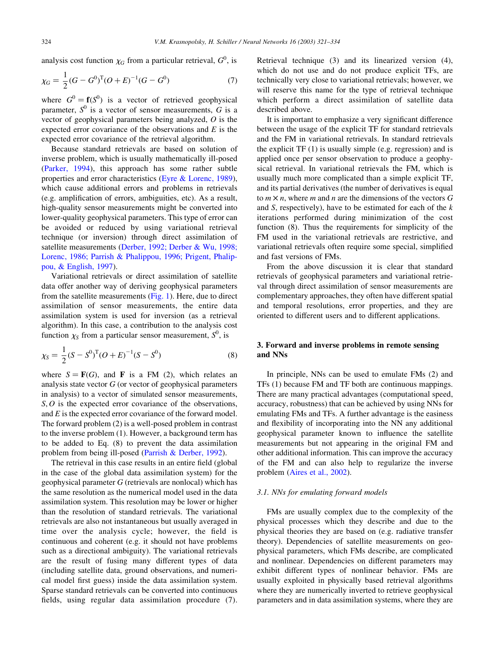analysis cost function  $\chi_G$  from a particular retrieval,  $G^0$ , is

$$
\chi_G = \frac{1}{2}(G - G^0)^T (O + E)^{-1} (G - G^0)
$$
\n(7)

where  $G^0 = \mathbf{f}(S^0)$  is a vector of retrieved geophysical parameter,  $S^0$  is a vector of sensor measurements,  $\tilde{G}$  is a vector of geophysical parameters being analyzed, O is the expected error covariance of the observations and  $E$  is the expected error covariance of the retrieval algorithm.

Because standard retrievals are based on solution of inverse problem, which is usually mathematically ill-posed ([Parker, 1994\)](#page-13-0), this approach has some rather subtle properties and error characteristics [\(Eyre & Lorenc, 1989\)](#page-13-0), which cause additional errors and problems in retrievals (e.g. amplification of errors, ambiguities, etc). As a result, high-quality sensor measurements might be converted into lower-quality geophysical parameters. This type of error can be avoided or reduced by using variational retrieval technique (or inversion) through direct assimilation of satellite measurements ([Derber, 1992; Derber & Wu, 1998;](#page-13-0) [Lorenc, 1986; Parrish & Phalippou, 1996; Prigent, Phalip](#page-13-0)[pou, & English, 1997\)](#page-13-0).

Variational retrievals or direct assimilation of satellite data offer another way of deriving geophysical parameters from the satellite measurements  $(Fig. 1)$  $(Fig. 1)$  $(Fig. 1)$ . Here, due to direct assimilation of sensor measurements, the entire data assimilation system is used for inversion (as a retrieval algorithm). In this case, a contribution to the analysis cost function  $\chi_S$  from a particular sensor measurement,  $S^0$ , is

$$
\chi_S = \frac{1}{2}(S - S^0)^T (O + E)^{-1} (S - S^0)
$$
\n(8)

where  $S = F(G)$ , and **F** is a FM (2), which relates an analysis state vector G (or vector of geophysical parameters in analysis) to a vector of simulated sensor measurements,  $S, O$  is the expected error covariance of the observations, and E is the expected error covariance of the forward model. The forward problem (2) is a well-posed problem in contrast to the inverse problem (1). However, a background term has to be added to Eq. (8) to prevent the data assimilation problem from being ill-posed [\(Parrish & Derber, 1992](#page-13-0)).

The retrieval in this case results in an entire field (global in the case of the global data assimilation system) for the geophysical parameter G (retrievals are nonlocal) which has the same resolution as the numerical model used in the data assimilation system. This resolution may be lower or higher than the resolution of standard retrievals. The variational retrievals are also not instantaneous but usually averaged in time over the analysis cycle; however, the field is continuous and coherent (e.g. it should not have problems such as a directional ambiguity). The variational retrievals are the result of fusing many different types of data (including satellite data, ground observations, and numerical model first guess) inside the data assimilation system. Sparse standard retrievals can be converted into continuous fields, using regular data assimilation procedure (7). Retrieval technique (3) and its linearized version (4), which do not use and do not produce explicit TFs, are technically very close to variational retrievals; however, we will reserve this name for the type of retrieval technique which perform a direct assimilation of satellite data described above.

It is important to emphasize a very significant difference between the usage of the explicit TF for standard retrievals and the FM in variational retrievals. In standard retrievals the explicit  $TF(1)$  is usually simple (e.g. regression) and is applied once per sensor observation to produce a geophysical retrieval. In variational retrievals the FM, which is usually much more complicated than a simple explicit TF, and its partial derivatives (the number of derivatives is equal to  $m \times n$ , where m and n are the dimensions of the vectors G and S, respectively), have to be estimated for each of the  $k$ iterations performed during minimization of the cost function (8). Thus the requirements for simplicity of the FM used in the variational retrievals are restrictive, and variational retrievals often require some special, simplified and fast versions of FMs.

From the above discussion it is clear that standard retrievals of geophysical parameters and variational retrieval through direct assimilation of sensor measurements are complementary approaches, they often have different spatial and temporal resolutions, error properties, and they are oriented to different users and to different applications.

## 3. Forward and inverse problems in remote sensing and NNs

In principle, NNs can be used to emulate FMs (2) and TFs (1) because FM and TF both are continuous mappings. There are many practical advantages (computational speed, accuracy, robustness) that can be achieved by using NNs for emulating FMs and TFs. A further advantage is the easiness and flexibility of incorporating into the NN any additional geophysical parameter known to influence the satellite measurements but not appearing in the original FM and other additional information. This can improve the accuracy of the FM and can also help to regularize the inverse problem [\(Aires et al., 2002](#page-12-0)).

#### 3.1. NNs for emulating forward models

FMs are usually complex due to the complexity of the physical processes which they describe and due to the physical theories they are based on (e.g. radiative transfer theory). Dependencies of satellite measurements on geophysical parameters, which FMs describe, are complicated and nonlinear. Dependencies on different parameters may exhibit different types of nonlinear behavior. FMs are usually exploited in physically based retrieval algorithms where they are numerically inverted to retrieve geophysical parameters and in data assimilation systems, where they are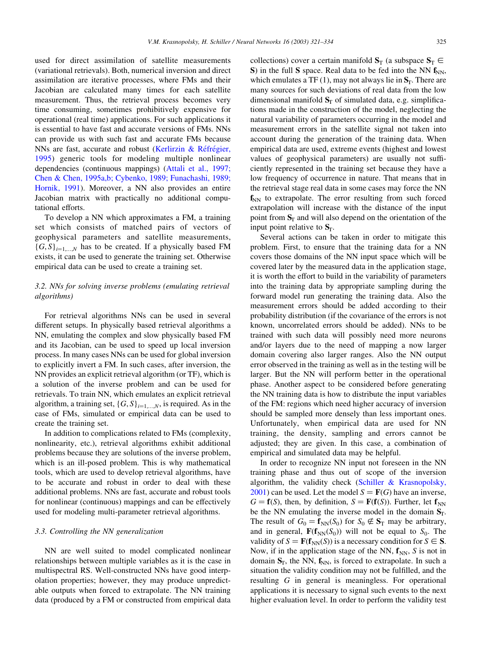used for direct assimilation of satellite measurements (variational retrievals). Both, numerical inversion and direct assimilation are iterative processes, where FMs and their Jacobian are calculated many times for each satellite measurement. Thus, the retrieval process becomes very time consuming, sometimes prohibitively expensive for operational (real time) applications. For such applications it is essential to have fast and accurate versions of FMs. NNs can provide us with such fast and accurate FMs because NNs are fast, accurate and robust (Kerlirzin & Réfrégier, [1995](#page-13-0)) generic tools for modeling multiple nonlinear dependencies (continuous mappings) ([Attali et al., 1997;](#page-12-0) [Chen & Chen, 1995a,b; Cybenko, 1989; Funachashi, 1989;](#page-12-0) [Hornik, 1991](#page-12-0)). Moreover, a NN also provides an entire Jacobian matrix with practically no additional computational efforts.

To develop a NN which approximates a FM, a training set which consists of matched pairs of vectors of geophysical parameters and satellite measurements,  $\{G, S\}_{i=1,...,N}$  has to be created. If a physically based FM exists, it can be used to generate the training set. Otherwise empirical data can be used to create a training set.

# 3.2. NNs for solving inverse problems (emulating retrieval algorithms)

For retrieval algorithms NNs can be used in several different setups. In physically based retrieval algorithms a NN, emulating the complex and slow physically based FM and its Jacobian, can be used to speed up local inversion process. In many cases NNs can be used for global inversion to explicitly invert a FM. In such cases, after inversion, the NN provides an explicit retrieval algorithm (or TF), which is a solution of the inverse problem and can be used for retrievals. To train NN, which emulates an explicit retrieval algorithm, a training set,  $\{G, S\}_{i=1,...,N}$ , is required. As in the case of FMs, simulated or empirical data can be used to create the training set.

In addition to complications related to FMs (complexity, nonlinearity, etc.), retrieval algorithms exhibit additional problems because they are solutions of the inverse problem, which is an ill-posed problem. This is why mathematical tools, which are used to develop retrieval algorithms, have to be accurate and robust in order to deal with these additional problems. NNs are fast, accurate and robust tools for nonlinear (continuous) mappings and can be effectively used for modeling multi-parameter retrieval algorithms.

### 3.3. Controlling the NN generalization

NN are well suited to model complicated nonlinear relationships between multiple variables as it is the case in multispectral RS. Well-constructed NNs have good interpolation properties; however, they may produce unpredictable outputs when forced to extrapolate. The NN training data (produced by a FM or constructed from empirical data

collections) cover a certain manifold  $S_T$  (a subspace  $S_T \in$ S) in the full S space. Real data to be fed into the NN  $f_{NN}$ , which emulates a TF (1), may not always lie in  $S_T$ . There are many sources for such deviations of real data from the low dimensional manifold  $S_T$  of simulated data, e.g. simplifications made in the construction of the model, neglecting the natural variability of parameters occurring in the model and measurement errors in the satellite signal not taken into account during the generation of the training data. When empirical data are used, extreme events (highest and lowest values of geophysical parameters) are usually not sufficiently represented in the training set because they have a low frequency of occurrence in nature. That means that in the retrieval stage real data in some cases may force the NN  $f_{NN}$  to extrapolate. The error resulting from such forced extrapolation will increase with the distance of the input point from  $S_T$  and will also depend on the orientation of the input point relative to  $S_T$ .

Several actions can be taken in order to mitigate this problem. First, to ensure that the training data for a NN covers those domains of the NN input space which will be covered later by the measured data in the application stage, it is worth the effort to build in the variability of parameters into the training data by appropriate sampling during the forward model run generating the training data. Also the measurement errors should be added according to their probability distribution (if the covariance of the errors is not known, uncorrelated errors should be added). NNs to be trained with such data will possibly need more neurons and/or layers due to the need of mapping a now larger domain covering also larger ranges. Also the NN output error observed in the training as well as in the testing will be larger. But the NN will perform better in the operational phase. Another aspect to be considered before generating the NN training data is how to distribute the input variables of the FM: regions which need higher accuracy of inversion should be sampled more densely than less important ones. Unfortunately, when empirical data are used for NN training, the density, sampling and errors cannot be adjusted; they are given. In this case, a combination of empirical and simulated data may be helpful.

In order to recognize NN input not foreseen in the NN training phase and thus out of scope of the inversion algorithm, the validity check [\(Schiller & Krasnopolsky,](#page-13-0)  $2001$ ) can be used. Let the model  $S = F(G)$  have an inverse,  $G = f(S)$ , then, by definition,  $S = F(f(S))$ . Further, let  $f_{NN}$ be the NN emulating the inverse model in the domain  $S_T$ . The result of  $G_0 = \mathbf{f}_{NN}(S_0)$  for  $S_0 \notin \mathbf{S}_T$  may be arbitrary, and in general,  $\mathbf{F}(\mathbf{f}_{NN}(S_0))$  will not be equal to  $S_0$ . The validity of  $S = \mathbf{F}(\mathbf{f}_{NN}(S))$  is a necessary condition for  $S \in \mathbf{S}$ . Now, if in the application stage of the NN,  $f_{NN}$ , S is not in domain  $S_T$ , the NN,  $f_{NN}$ , is forced to extrapolate. In such a situation the validity condition may not be fulfilled, and the resulting G in general is meaningless. For operational applications it is necessary to signal such events to the next higher evaluation level. In order to perform the validity test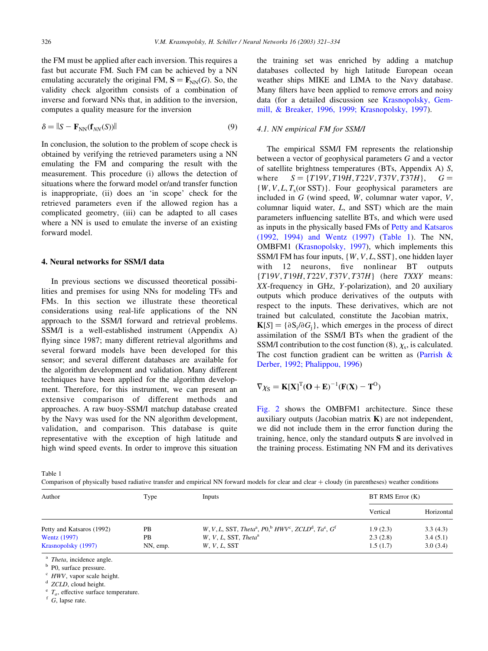<span id="page-5-0"></span>the FM must be applied after each inversion. This requires a fast but accurate FM. Such FM can be achieved by a NN emulating accurately the original FM,  $S = F_{NN}(G)$ . So, the validity check algorithm consists of a combination of inverse and forward NNs that, in addition to the inversion, computes a quality measure for the inversion

$$
\delta = \|S - \mathbf{F}_{NN}(\mathbf{f}_{NN}(S))\|
$$
\n(9)

In conclusion, the solution to the problem of scope check is obtained by verifying the retrieved parameters using a NN emulating the FM and comparing the result with the measurement. This procedure (i) allows the detection of situations where the forward model or/and transfer function is inappropriate, (ii) does an 'in scope' check for the retrieved parameters even if the allowed region has a complicated geometry, (iii) can be adapted to all cases where a NN is used to emulate the inverse of an existing forward model.

#### 4. Neural networks for SSM/I data

In previous sections we discussed theoretical possibilities and premises for using NNs for modeling TFs and FMs. In this section we illustrate these theoretical considerations using real-life applications of the NN approach to the SSM/I forward and retrieval problems. SSM/I is a well-established instrument (Appendix A) flying since 1987; many different retrieval algorithms and several forward models have been developed for this sensor; and several different databases are available for the algorithm development and validation. Many different techniques have been applied for the algorithm development. Therefore, for this instrument, we can present an extensive comparison of different methods and approaches. A raw buoy-SSM/I matchup database created by the Navy was used for the NN algorithm development, validation, and comparison. This database is quite representative with the exception of high latitude and high wind speed events. In order to improve this situation

the training set was enriched by adding a matchup databases collected by high latitude European ocean weather ships MIKE and LIMA to the Navy database. Many filters have been applied to remove errors and noisy data (for a detailed discussion see [Krasnopolsky, Gem](#page-13-0)[mill, & Breaker, 1996, 1999; Krasnopolsky, 1997](#page-13-0)).

#### 4.1. NN empirical FM for SSM/I

The empirical SSM/I FM represents the relationship between a vector of geophysical parameters G and a vector of satellite brightness temperatures (BTs, Appendix A) S; where  $S = \{T19V, T19H, T22V, T37V, T37H\}$ ,  $G =$  $\{W, V, L, T_{s}$ (or SST)}. Four geophysical parameters are included in  $G$  (wind speed,  $W$ , columnar water vapor,  $V$ , columnar liquid water,  $L$ , and SST) which are the main parameters influencing satellite BTs, and which were used as inputs in the physically based FMs of [Petty and Katsaros](#page-13-0) [\(1992, 1994\) and Wentz \(1997\)](#page-13-0) (Table 1). The NN, OMBFM1 ([Krasnopolsky, 1997\)](#page-13-0), which implements this SSM/I FM has four inputs,  $\{W, V, L, SST\}$ , one hidden layer with 12 neurons, five nonlinear BT outputs  ${T19V, T19H, T22V, T37V, T37H}$  (here TXXY means: XX-frequency in GHz, Y-polarization), and 20 auxiliary outputs which produce derivatives of the outputs with respect to the inputs. These derivatives, which are not trained but calculated, constitute the Jacobian matrix,  $K[S] = \{\partial S_i / \partial G_i\}$ , which emerges in the process of direct assimilation of the SSM/I BTs when the gradient of the SSM/I contribution to the cost function  $(8)$ ,  $\chi_s$ , is calculated. The cost function gradient can be written as (Parrish  $\&$ [Derber, 1992; Phalippou, 1996\)](#page-13-0)

$$
\nabla \chi_{\rm S} = \mathbf{K}[\mathbf{X}]^{\rm T}(\mathbf{O} + \mathbf{E})^{-1}(\mathbf{F}(\mathbf{X}) - \mathbf{T}^{\rm O})
$$

[Fig. 2](#page-6-0) shows the OMBFM1 architecture. Since these auxiliary outputs (Jacobian matrix K) are not independent, we did not include them in the error function during the training, hence, only the standard outputs S are involved in the training process. Estimating NN FM and its derivatives

Table 1

Comparison of physically based radiative transfer and empirical NN forward models for clear and clear  $+$  cloudy (in parentheses) weather conditions

| Author                    | Type     | Inputs                                                                                                                      | BT RMS Error (K) |            |
|---------------------------|----------|-----------------------------------------------------------------------------------------------------------------------------|------------------|------------|
|                           |          |                                                                                                                             | Vertical         | Horizontal |
| Petty and Katsaros (1992) | PB       | W, V, L, SST, Theta <sup>a</sup> , P0, <sup>b</sup> HWV <sup>c</sup> , ZCLD <sup>d</sup> , Ta <sup>e</sup> , G <sup>f</sup> | 1.9(2.3)         | 3.3(4.3)   |
| <b>Wentz</b> (1997)       | PB       | $W, V, L$ , SST, Theta <sup>a</sup>                                                                                         | 2.3(2.8)         | 3.4(5.1)   |
| Krasnopolsky (1997)       | NN, emp. | $W, V, L$ , SST                                                                                                             | 1.5(1.7)         | 3.0(3.4)   |

<sup>a</sup> *Theta*, incidence angle.<br><sup>b</sup> P0, surface pressure.

<sup>c</sup> HWV; vapor scale height.<br><sup>d</sup> ZCLD; cloud height.<br>e  $T_a$ , effective surface temperature.<br>f  $G$ , lapse rate.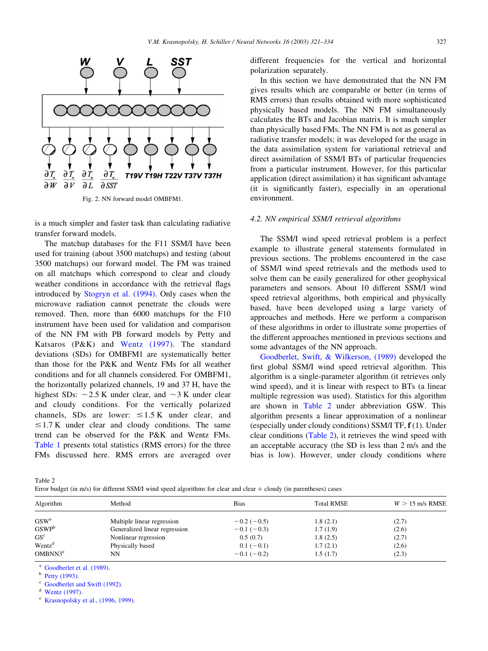<span id="page-6-0"></span>

Fig. 2. NN forward model OMBFM1.

is a much simpler and faster task than calculating radiative transfer forward models.

The matchup databases for the F11 SSM/I have been used for training (about 3500 matchups) and testing (about 3500 matchups) our forward model. The FM was trained on all matchups which correspond to clear and cloudy weather conditions in accordance with the retrieval flags introduced by [Stogryn et al. \(1994\)](#page-13-0). Only cases when the microwave radiation cannot penetrate the clouds were removed. Then, more than 6000 matchups for the F10 instrument have been used for validation and comparison of the NN FM with PB forward models by Petty and Katsaros (P&K) and [Wentz \(1997\).](#page-13-0) The standard deviations (SDs) for OMBFM1 are systematically better than those for the P&K and Wentz FMs for all weather conditions and for all channels considered. For OMBFM1, the horizontally polarized channels, 19 and 37 H, have the highest SDs:  $\sim$  2.5 K under clear, and  $\sim$  3 K under clear and cloudy conditions. For the vertically polarized channels, SDs are lower:  $\leq 1.5$  K under clear, and  $\leq$ 1.7 K under clear and cloudy conditions. The same trend can be observed for the P&K and Wentz FMs. [Table 1](#page-5-0) presents total statistics (RMS errors) for the three FMs discussed here. RMS errors are averaged over different frequencies for the vertical and horizontal polarization separately.

In this section we have demonstrated that the NN FM gives results which are comparable or better (in terms of RMS errors) than results obtained with more sophisticated physically based models. The NN FM simultaneously calculates the BTs and Jacobian matrix. It is much simpler than physically based FMs. The NN FM is not as general as radiative transfer models; it was developed for the usage in the data assimilation system for variational retrieval and direct assimilation of SSM/I BTs of particular frequencies from a particular instrument. However, for this particular application (direct assimilation) it has significant advantage (it is significantly faster), especially in an operational environment.

#### 4.2. NN empirical SSM/I retrieval algorithms

The SSM/I wind speed retrieval problem is a perfect example to illustrate general statements formulated in previous sections. The problems encountered in the case of SSM/I wind speed retrievals and the methods used to solve them can be easily generalized for other geophysical parameters and sensors. About 10 different SSM/I wind speed retrieval algorithms, both empirical and physically based, have been developed using a large variety of approaches and methods. Here we perform a comparison of these algorithms in order to illustrate some properties of the different approaches mentioned in previous sections and some advantages of the NN approach.

[Goodberlet, Swift, & Wilkerson, \(1989\)](#page-13-0) developed the first global SSM/I wind speed retrieval algorithm. This algorithm is a single-parameter algorithm (it retrieves only wind speed), and it is linear with respect to BTs (a linear multiple regression was used). Statistics for this algorithm are shown in Table 2 under abbreviation GSW. This algorithm presents a linear approximation of a nonlinear (especially under cloudy conditions) SSM/I TF, f (1). Under clear conditions (Table 2), it retrieves the wind speed with an acceptable accuracy (the SD is less than 2 m/s and the bias is low). However, under cloudy conditions where

Table 2

Error budget (in m/s) for different SSM/I wind speed algorithms for clear and clear  $+$  cloudy (in parentheses) cases

| Algorithm           | Method                        | <b>Bias</b>       | <b>Total RMSE</b> | $W > 15$ m/s RMSE |
|---------------------|-------------------------------|-------------------|-------------------|-------------------|
| $GSW^a$             | Multiple linear regression    | $-0.2$ ( $-0.5$ ) | 1.8(2.1)          | (2.7)             |
| $GSWP^b$            | Generalized linear regression | $-0.1(-0.3)$      | 1.7(1.9)          | (2.6)             |
| GS <sup>c</sup>     | Nonlinear regression          | 0.5(0.7)          | 1.8(2.5)          | (2.7)             |
| Wentz <sup>d</sup>  | Physically based              | $0.1(-0.1)$       | 1.7(2.1)          | (2.6)             |
| OMBNN3 <sup>e</sup> | NΝ                            | $-0.1(-0.2)$      | 1.5(1.7)          | (2.3)             |
|                     |                               |                   |                   |                   |

a [Goodberlet et al. \(1989\)](#page-13-0).<br>b [Petty \(1993\)](#page-13-0).<br>c [Goodberlet and Swift \(1992\)](#page-13-0).<br>d [Wentz \(1997\).](#page-13-0)

<sup>e</sup> [Krasnopolsky et al., \(1996, 1999\).](#page-13-0)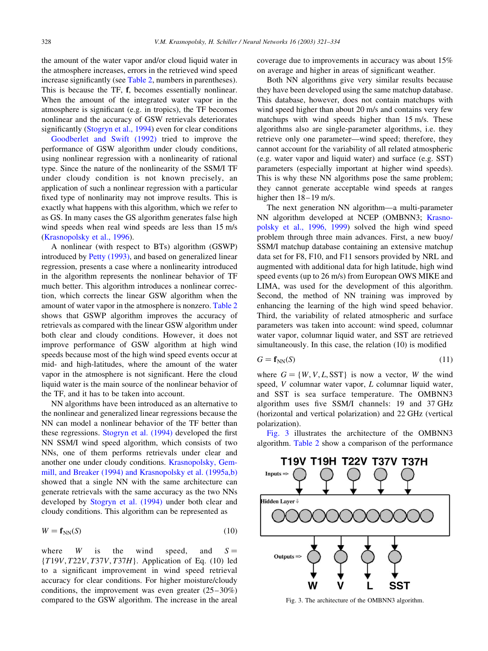the amount of the water vapor and/or cloud liquid water in the atmosphere increases, errors in the retrieved wind speed increase significantly (see [Table 2,](#page-6-0) numbers in parentheses). This is because the TF, f, becomes essentially nonlinear. When the amount of the integrated water vapor in the atmosphere is significant (e.g. in tropics), the TF becomes nonlinear and the accuracy of GSW retrievals deteriorates significantly ([Stogryn et al., 1994\)](#page-13-0) even for clear conditions

[Goodberlet and Swift \(1992\)](#page-13-0) tried to improve the performance of GSW algorithm under cloudy conditions, using nonlinear regression with a nonlinearity of rational type. Since the nature of the nonlinearity of the SSM/I TF under cloudy condition is not known precisely, an application of such a nonlinear regression with a particular fixed type of nonlinarity may not improve results. This is exactly what happens with this algorithm, which we refer to as GS. In many cases the GS algorithm generates false high wind speeds when real wind speeds are less than 15 m/s ([Krasnopolsky et al., 1996\)](#page-13-0).

A nonlinear (with respect to BTs) algorithm (GSWP) introduced by [Petty \(1993\)](#page-13-0), and based on generalized linear regression, presents a case where a nonlinearity introduced in the algorithm represents the nonlinear behavior of TF much better. This algorithm introduces a nonlinear correction, which corrects the linear GSW algorithm when the amount of water vapor in the atmosphere is nonzero. [Table 2](#page-6-0) shows that GSWP algorithm improves the accuracy of retrievals as compared with the linear GSW algorithm under both clear and cloudy conditions. However, it does not improve performance of GSW algorithm at high wind speeds because most of the high wind speed events occur at mid- and high-latitudes, where the amount of the water vapor in the atmosphere is not significant. Here the cloud liquid water is the main source of the nonlinear behavior of the TF, and it has to be taken into account.

NN algorithms have been introduced as an alternative to the nonlinear and generalized linear regressions because the NN can model a nonlinear behavior of the TF better than these regressions. [Stogryn et al. \(1994\)](#page-13-0) developed the first NN SSM/I wind speed algorithm, which consists of two NNs, one of them performs retrievals under clear and another one under cloudy conditions. [Krasnopolsky, Gem](#page-13-0)[mill, and Breaker \(1994\) and Krasnopolsky et al. \(1995a,b\)](#page-13-0) showed that a single NN with the same architecture can generate retrievals with the same accuracy as the two NNs developed by [Stogryn et al. \(1994\)](#page-13-0) under both clear and cloudy conditions. This algorithm can be represented as

$$
W = \mathbf{f}_{NN}(S) \tag{10}
$$

where *W* is the wind speed, and  $S =$  ${T19V, T22V, T37V, T37H}$ . Application of Eq. (10) led to a significant improvement in wind speed retrieval accuracy for clear conditions. For higher moisture/cloudy conditions, the improvement was even greater (25–30%) compared to the GSW algorithm. The increase in the areal coverage due to improvements in accuracy was about 15% on average and higher in areas of significant weather.

Both NN algorithms give very similar results because they have been developed using the same matchup database. This database, however, does not contain matchups with wind speed higher than about 20 m/s and contains very few matchups with wind speeds higher than 15 m/s. These algorithms also are single-parameter algorithms, i.e. they retrieve only one parameter—wind speed; therefore, they cannot account for the variability of all related atmospheric (e.g. water vapor and liquid water) and surface (e.g. SST) parameters (especially important at higher wind speeds). This is why these NN algorithms pose the same problem; they cannot generate acceptable wind speeds at ranges higher then  $18-19$  m/s.

The next generation NN algorithm—a multi-parameter NN algorithm developed at NCEP (OMBNN3; [Krasno](#page-13-0)[polsky et al., 1996, 1999\)](#page-13-0) solved the high wind speed problem through three main advances. First, a new buoy/ SSM/I matchup database containing an extensive matchup data set for F8, F10, and F11 sensors provided by NRL and augmented with additional data for high latitude, high wind speed events (up to 26 m/s) from European OWS MIKE and LIMA, was used for the development of this algorithm. Second, the method of NN training was improved by enhancing the learning of the high wind speed behavior. Third, the variability of related atmospheric and surface parameters was taken into account: wind speed, columnar water vapor, columnar liquid water, and SST are retrieved simultaneously. In this case, the relation (10) is modified

$$
G = \mathbf{f}_{NN}(S) \tag{11}
$$

where  $G = \{W, V, L, SST\}$  is now a vector, W the wind speed, V columnar water vapor, L columnar liquid water, and SST is sea surface temperature. The OMBNN3 algorithm uses five SSM/I channels: 19 and 37 GHz (horizontal and vertical polarization) and 22 GHz (vertical polarization).

Fig. 3 illustrates the architecture of the OMBNN3 algorithm. [Table 2](#page-6-0) show a comparison of the performance



Fig. 3. The architecture of the OMBNN3 algorithm.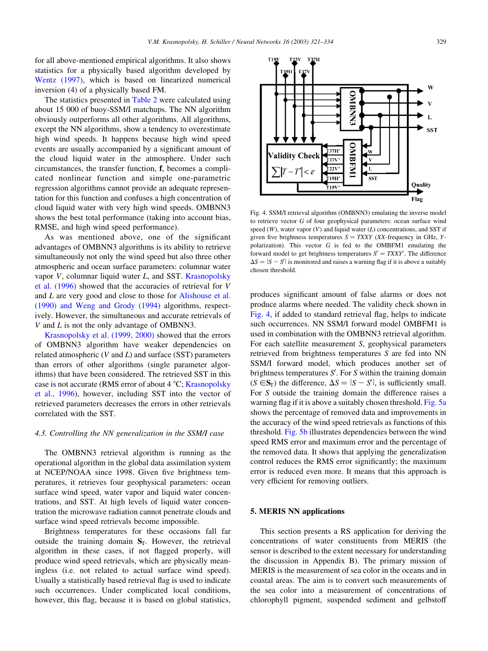for all above-mentioned empirical algorithms. It also shows statistics for a physically based algorithm developed by [Wentz \(1997\)](#page-13-0), which is based on linearized numerical inversion (4) of a physically based FM.

The statistics presented in [Table 2](#page-6-0) were calculated using about 15 000 of buoy-SSM/I matchups. The NN algorithm obviously outperforms all other algorithms. All algorithms, except the NN algorithms, show a tendency to overestimate high wind speeds. It happens because high wind speed events are usually accompanied by a significant amount of the cloud liquid water in the atmosphere. Under such circumstances, the transfer function, f, becomes a complicated nonlinear function and simple one-parametric regression algorithms cannot provide an adequate representation for this function and confuses a high concentration of cloud liquid water with very high wind speeds. OMBNN3 shows the best total performance (taking into account bias, RMSE, and high wind speed performance).

As was mentioned above, one of the significant advantages of OMBNN3 algorithms is its ability to retrieve simultaneously not only the wind speed but also three other atmospheric and ocean surface parameters: columnar water vapor V, columnar liquid water L, and SST. [Krasnopolsky](#page-13-0) [et al. \(1996\)](#page-13-0) showed that the accuracies of retrieval for V and L are very good and close to those for [Alishouse et al.](#page-12-0) [\(1990\) and Weng and Grody \(1994\)](#page-12-0) algorithms, respectively. However, the simultaneous and accurate retrievals of V and L is not the only advantage of OMBNN3.

[Krasnopolsky et al. \(1999, 2000\)](#page-13-0) showed that the errors of OMBNN3 algorithm have weaker dependencies on related atmospheric  $(V \text{ and } L)$  and surface (SST) parameters than errors of other algorithms (single parameter algorithms) that have been considered. The retrieved SST in this case is not accurate (RMS error of about  $4^{\circ}$ C; [Krasnopolsky](#page-13-0) [et al., 1996](#page-13-0)), however, including SST into the vector of retrieved parameters decreases the errors in other retrievals correlated with the SST.

#### 4.3. Controlling the NN generalization in the SSM/I case

The OMBNN3 retrieval algorithm is running as the operational algorithm in the global data assimilation system at NCEP/NOAA since 1998. Given five brightness temperatures, it retrieves four geophysical parameters: ocean surface wind speed, water vapor and liquid water concentrations, and SST. At high levels of liquid water concentration the microwave radiation cannot penetrate clouds and surface wind speed retrievals become impossible.

Brightness temperatures for these occasions fall far outside the training domain  $S_T$ . However, the retrieval algorithm in these cases, if not flagged properly, will produce wind speed retrievals, which are physically meaningless (i.e. not related to actual surface wind speed). Usually a statistically based retrieval flag is used to indicate such occurrences. Under complicated local conditions, however, this flag, because it is based on global statistics, Fig. 4. SSM/I retrieval algorithm (OMBNN3) emulating the inverse model to retrieve vector G of four geophysical parameters: ocean surface wind speed  $(W)$ , water vapor  $(V)$  and liquid water  $(L)$  concentrations, and SST if given five brightness temperatures  $S = TXXY$  (XX-frequency in GHz, Ypolarization). This vector  $G$  is fed to the OMBFM1 emulating the forward model to get brightness temperatures  $S' = TXXY'$ . The difference  $\Delta S = |S - S'|$  is monitored and raises a warning flag if it is above a suitably chosen threshold.

produces significant amount of false alarms or does not produce alarms where needed. The validity check shown in Fig. 4, if added to standard retrieval flag, helps to indicate such occurrences. NN SSM/I forward model OMBFM1 is used in combination with the OMBNN3 retrieval algorithm. For each satellite measurement S; geophysical parameters retrieved from brightness temperatures S are fed into NN SSM/I forward model, which produces another set of brightness temperatures  $S'$ . For S within the training domain  $(S \in S_T)$  the difference,  $\Delta S = |S - S'|$ , is sufficiently small. For S outside the training domain the difference raises a warning flag if it is above a suitably chosen threshold. [Fig. 5a](#page-9-0) shows the percentage of removed data and improvements in the accuracy of the wind speed retrievals as functions of this threshold. [Fig. 5b](#page-9-0) illustrates dependencies between the wind speed RMS error and maximum error and the percentage of the removed data. It shows that applying the generalization control reduces the RMS error significantly; the maximum error is reduced even more. It means that this approach is very efficient for removing outliers.

#### 5. MERIS NN applications

This section presents a RS application for deriving the concentrations of water constituents from MERIS (the sensor is described to the extent necessary for understanding the discussion in Appendix B). The primary mission of MERIS is the measurement of sea color in the oceans and in coastal areas. The aim is to convert such measurements of the sea color into a measurement of concentrations of chlorophyll pigment, suspended sediment and gelbstoff

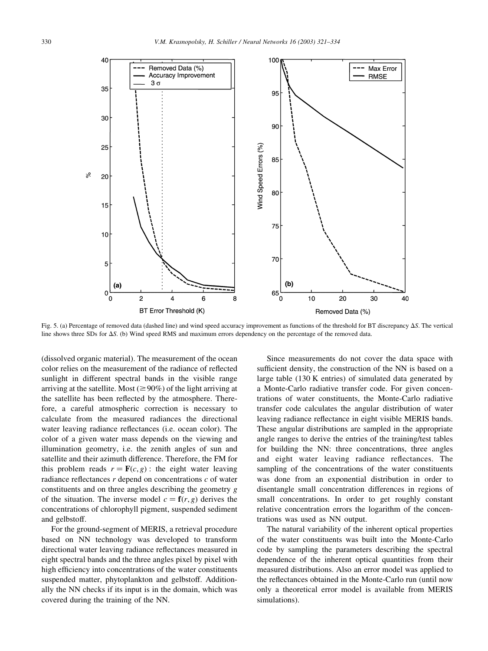<span id="page-9-0"></span>

Fig. 5. (a) Percentage of removed data (dashed line) and wind speed accuracy improvement as functions of the threshold for BT discrepancy  $\Delta S$ . The vertical line shows three SDs for  $\Delta S$ . (b) Wind speed RMS and maximum errors dependency on the percentage of the removed data.

(dissolved organic material). The measurement of the ocean color relies on the measurement of the radiance of reflected sunlight in different spectral bands in the visible range arriving at the satellite. Most  $(\geq 90\%)$  of the light arriving at the satellite has been reflected by the atmosphere. Therefore, a careful atmospheric correction is necessary to calculate from the measured radiances the directional water leaving radiance reflectances (i.e. ocean color). The color of a given water mass depends on the viewing and illumination geometry, i.e. the zenith angles of sun and satellite and their azimuth difference. Therefore, the FM for this problem reads  $r = \mathbf{F}(c, g)$ : the eight water leaving radiance reflectances  $r$  depend on concentrations  $c$  of water constituents and on three angles describing the geometry g of the situation. The inverse model  $c = f(r, g)$  derives the concentrations of chlorophyll pigment, suspended sediment and gelbstoff.

For the ground-segment of MERIS, a retrieval procedure based on NN technology was developed to transform directional water leaving radiance reflectances measured in eight spectral bands and the three angles pixel by pixel with high efficiency into concentrations of the water constituents suspended matter, phytoplankton and gelbstoff. Additionally the NN checks if its input is in the domain, which was covered during the training of the NN.

Since measurements do not cover the data space with sufficient density, the construction of the NN is based on a large table (130 K entries) of simulated data generated by a Monte-Carlo radiative transfer code. For given concentrations of water constituents, the Monte-Carlo radiative transfer code calculates the angular distribution of water leaving radiance reflectance in eight visible MERIS bands. These angular distributions are sampled in the appropriate angle ranges to derive the entries of the training/test tables for building the NN: three concentrations, three angles and eight water leaving radiance reflectances. The sampling of the concentrations of the water constituents was done from an exponential distribution in order to disentangle small concentration differences in regions of small concentrations. In order to get roughly constant relative concentration errors the logarithm of the concentrations was used as NN output.

The natural variability of the inherent optical properties of the water constituents was built into the Monte-Carlo code by sampling the parameters describing the spectral dependence of the inherent optical quantities from their measured distributions. Also an error model was applied to the reflectances obtained in the Monte-Carlo run (until now only a theoretical error model is available from MERIS simulations).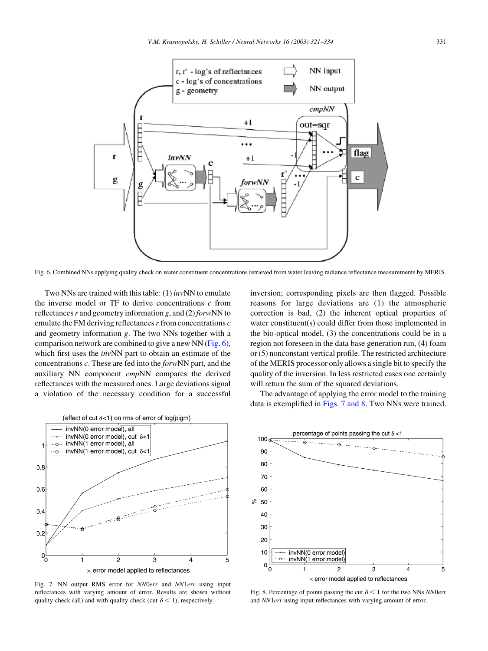<span id="page-10-0"></span>

Fig. 6. Combined NNs applying quality check on water constituent concentrations retrieved from water leaving radiance reflectance measurements by MERIS.

Two NNs are trained with this table:  $(1)$  invNN to emulate the inverse model or  $TF$  to derive concentrations  $c$  from reflectances  $r$  and geometry information g, and (2) for wNN to emulate the FM deriving reflectances  $r$  from concentrations  $c$ and geometry information g: The two NNs together with a comparison network are combined to give a new NN (Fig. 6), which first uses the *invNN* part to obtain an estimate of the concentrations  $c$ . These are fed into the *forwNN* part, and the auxiliary NN component cmpNN compares the derived reflectances with the measured ones. Large deviations signal a violation of the necessary condition for a successful



Fig. 7. NN output RMS error for *NN0err* and *NN1err* using input reflectances with varying amount of error. Results are shown without quality check (all) and with quality check (cut  $\delta$  < 1), respectively.

inversion; corresponding pixels are then flagged. Possible reasons for large deviations are (1) the atmospheric correction is bad, (2) the inherent optical properties of water constituent(s) could differ from those implemented in the bio-optical model, (3) the concentrations could be in a region not foreseen in the data base generation run, (4) foam or (5) nonconstant vertical profile. The restricted architecture of the MERIS processor only allows a single bit to specify the quality of the inversion. In less restricted cases one certainly will return the sum of the squared deviations.

The advantage of applying the error model to the training data is exemplified in Figs. 7 and 8. Two NNs were trained.



Fig. 8. Percentage of points passing the cut  $\delta$  < 1 for the two NNs *NN0err* and NN1err using input reflectances with varying amount of error.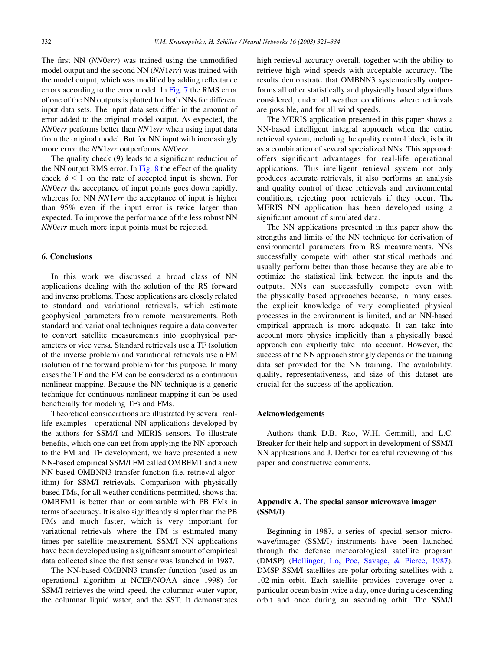The first NN (NN0err) was trained using the unmodified model output and the second NN  $(NN1err)$  was trained with the model output, which was modified by adding reflectance errors according to the error model. In [Fig. 7](#page-10-0) the RMS error of one of the NN outputs is plotted for both NNs for different input data sets. The input data sets differ in the amount of error added to the original model output. As expected, the NN0err performs better then NN1err when using input data from the original model. But for NN input with increasingly more error the NN1err outperforms NN0err.

The quality check (9) leads to a significant reduction of the NN output RMS error. In [Fig. 8](#page-10-0) the effect of the quality check  $\delta$  < 1 on the rate of accepted input is shown. For NN0err the acceptance of input points goes down rapidly, whereas for NN NN1err the acceptance of input is higher than 95% even if the input error is twice larger than expected. To improve the performance of the less robust NN NN0err much more input points must be rejected.

#### 6. Conclusions

In this work we discussed a broad class of NN applications dealing with the solution of the RS forward and inverse problems. These applications are closely related to standard and variational retrievals, which estimate geophysical parameters from remote measurements. Both standard and variational techniques require a data converter to convert satellite measurements into geophysical parameters or vice versa. Standard retrievals use a TF (solution of the inverse problem) and variational retrievals use a FM (solution of the forward problem) for this purpose. In many cases the TF and the FM can be considered as a continuous nonlinear mapping. Because the NN technique is a generic technique for continuous nonlinear mapping it can be used beneficially for modeling TFs and FMs.

Theoretical considerations are illustrated by several reallife examples—operational NN applications developed by the authors for SSM/I and MERIS sensors. To illustrate benefits, which one can get from applying the NN approach to the FM and TF development, we have presented a new NN-based empirical SSM/I FM called OMBFM1 and a new NN-based OMBNN3 transfer function (i.e. retrieval algorithm) for SSM/I retrievals. Comparison with physically based FMs, for all weather conditions permitted, shows that OMBFM1 is better than or comparable with PB FMs in terms of accuracy. It is also significantly simpler than the PB FMs and much faster, which is very important for variational retrievals where the FM is estimated many times per satellite measurement. SSM/I NN applications have been developed using a significant amount of empirical data collected since the first sensor was launched in 1987.

The NN-based OMBNN3 transfer function (used as an operational algorithm at NCEP/NOAA since 1998) for SSM/I retrieves the wind speed, the columnar water vapor, the columnar liquid water, and the SST. It demonstrates high retrieval accuracy overall, together with the ability to retrieve high wind speeds with acceptable accuracy. The results demonstrate that OMBNN3 systematically outperforms all other statistically and physically based algorithms considered, under all weather conditions where retrievals are possible, and for all wind speeds.

The MERIS application presented in this paper shows a NN-based intelligent integral approach when the entire retrieval system, including the quality control block, is built as a combination of several specialized NNs. This approach offers significant advantages for real-life operational applications. This intelligent retrieval system not only produces accurate retrievals, it also performs an analysis and quality control of these retrievals and environmental conditions, rejecting poor retrievals if they occur. The MERIS NN application has been developed using a significant amount of simulated data.

The NN applications presented in this paper show the strengths and limits of the NN technique for derivation of environmental parameters from RS measurements. NNs successfully compete with other statistical methods and usually perform better than those because they are able to optimize the statistical link between the inputs and the outputs. NNs can successfully compete even with the physically based approaches because, in many cases, the explicit knowledge of very complicated physical processes in the environment is limited, and an NN-based empirical approach is more adequate. It can take into account more physics implicitly than a physically based approach can explicitly take into account. However, the success of the NN approach strongly depends on the training data set provided for the NN training. The availability, quality, representativeness, and size of this dataset are crucial for the success of the application.

#### Acknowledgements

Authors thank D.B. Rao, W.H. Gemmill, and L.C. Breaker for their help and support in development of SSM/I NN applications and J. Derber for careful reviewing of this paper and constructive comments.

## Appendix A. The special sensor microwave imager (SSM/I)

Beginning in 1987, a series of special sensor microwave/imager (SSM/I) instruments have been launched through the defense meteorological satellite program (DMSP) [\(Hollinger, Lo, Poe, Savage, & Pierce, 1987\)](#page-13-0). DMSP SSM/I satellites are polar orbiting satellites with a 102 min orbit. Each satellite provides coverage over a particular ocean basin twice a day, once during a descending orbit and once during an ascending orbit. The SSM/I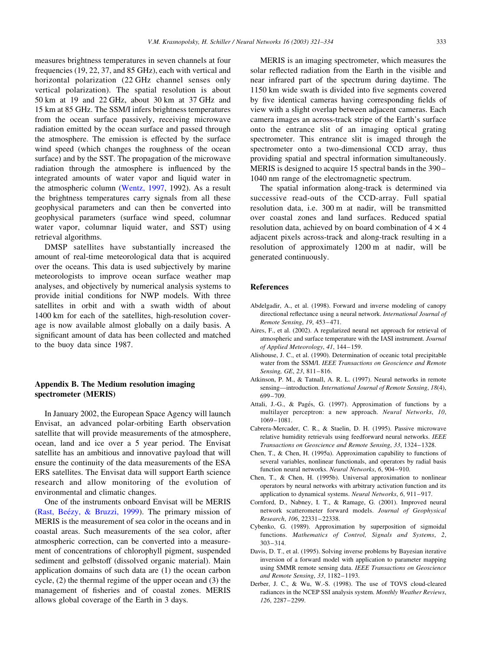<span id="page-12-0"></span>measures brightness temperatures in seven channels at four frequencies (19, 22, 37, and 85 GHz), each with vertical and horizontal polarization (22 GHz channel senses only vertical polarization). The spatial resolution is about 50 km at 19 and 22 GHz, about 30 km at 37 GHz and 15 km at 85 GHz. The SSM/I infers brightness temperatures from the ocean surface passively, receiving microwave radiation emitted by the ocean surface and passed through the atmosphere. The emission is effected by the surface wind speed (which changes the roughness of the ocean surface) and by the SST. The propagation of the microwave radiation through the atmosphere is influenced by the integrated amounts of water vapor and liquid water in the atmospheric column [\(Wentz, 1997,](#page-13-0) 1992). As a result the brightness temperatures carry signals from all these geophysical parameters and can then be converted into geophysical parameters (surface wind speed, columnar water vapor, columnar liquid water, and SST) using retrieval algorithms.

DMSP satellites have substantially increased the amount of real-time meteorological data that is acquired over the oceans. This data is used subjectively by marine meteorologists to improve ocean surface weather map analyses, and objectively by numerical analysis systems to provide initial conditions for NWP models. With three satellites in orbit and with a swath width of about 1400 km for each of the satellites, high-resolution coverage is now available almost globally on a daily basis. A significant amount of data has been collected and matched to the buoy data since 1987.

## Appendix B. The Medium resolution imaging spectrometer (MERIS)

In January 2002, the European Space Agency will launch Envisat, an advanced polar-orbiting Earth observation satellite that will provide measurements of the atmosphere, ocean, land and ice over a 5 year period. The Envisat satellite has an ambitious and innovative payload that will ensure the continuity of the data measurements of the ESA ERS satellites. The Envisat data will support Earth science research and allow monitoring of the evolution of environmental and climatic changes.

One of the instruments onboard Envisat will be MERIS (Rast, Bee<sup> $z$ y</sup>, & Bruzzi, 1999). The primary mission of MERIS is the measurement of sea color in the oceans and in coastal areas. Such measurements of the sea color, after atmospheric correction, can be converted into a measurement of concentrations of chlorophyll pigment, suspended sediment and gelbstoff (dissolved organic material). Main application domains of such data are (1) the ocean carbon cycle, (2) the thermal regime of the upper ocean and (3) the management of fisheries and of coastal zones. MERIS allows global coverage of the Earth in 3 days.

MERIS is an imaging spectrometer, which measures the solar reflected radiation from the Earth in the visible and near infrared part of the spectrum during daytime. The 1150 km wide swath is divided into five segments covered by five identical cameras having corresponding fields of view with a slight overlap between adjacent cameras. Each camera images an across-track stripe of the Earth's surface onto the entrance slit of an imaging optical grating spectrometer. This entrance slit is imaged through the spectrometer onto a two-dimensional CCD array, thus providing spatial and spectral information simultaneously. MERIS is designed to acquire 15 spectral bands in the 390– 1040 nm range of the electromagnetic spectrum.

The spatial information along-track is determined via successive read-outs of the CCD-array. Full spatial resolution data, i.e. 300 m at nadir, will be transmitted over coastal zones and land surfaces. Reduced spatial resolution data, achieved by on board combination of  $4 \times 4$ adjacent pixels across-track and along-track resulting in a resolution of approximately 1200 m at nadir, will be generated continuously.

## References

- Abdelgadir, A., et al. (1998). Forward and inverse modeling of canopy directional reflectance using a neural network. International Journal of Remote Sensing, 19, 453–471.
- Aires, F., et al. (2002). A regularized neural net approach for retrieval of atmospheric and surface temperature with the IASI instrument. Journal of Applied Meteorology, 41, 144–159.
- Alishouse, J. C., et al. (1990). Determination of oceanic total precipitable water from the SSM/I. IEEE Transactions on Geoscience and Remote Sensing, GE, 23, 811–816.
- Atkinson, P. M., & Tatnall, A. R. L. (1997). Neural networks in remote sensing—introduction. International Journal of Remote Sensing, 18(4), 699–709.
- Attali, J.-G., & Pagés, G. (1997). Approximation of functions by a multilayer perceptron: a new approach. Neural Networks, 10, 1069–1081.
- Cabrera-Mercader, C. R., & Staelin, D. H. (1995). Passive microwave relative humidity retrievals using feedforward neural networks. IEEE Transactions on Geoscience and Remote Sensing, 33, 1324–1328.
- Chen, T., & Chen, H. (1995a). Approximation capability to functions of several variables, nonlinear functionals, and operators by radial basis function neural networks. Neural Networks, 6, 904–910.
- Chen, T., & Chen, H. (1995b). Universal approximation to nonlinear operators by neural networks with arbitrary activation function and its application to dynamical systems. Neural Networks, 6, 911–917.
- Cornford, D., Nabney, I. T., & Ramage, G. (2001). Improved neural network scatterometer forward models. Journal of Geophysical Research, 106, 22331–22338.
- Cybenko, G. (1989). Approximation by superposition of sigmoidal functions. Mathematics of Control, Signals and Systems, 2, 303–314.
- Davis, D. T., et al. (1995). Solving inverse problems by Bayesian iterative inversion of a forward model with application to parameter mapping using SMMR remote sensing data. IEEE Transactions on Geoscience and Remote Sensing, 33, 1182–1193.
- Derber, J. C., & Wu, W.-S. (1998). The use of TOVS cloud-cleared radiances in the NCEP SSI analysis system. Monthly Weather Reviews, 126, 2287–2299.